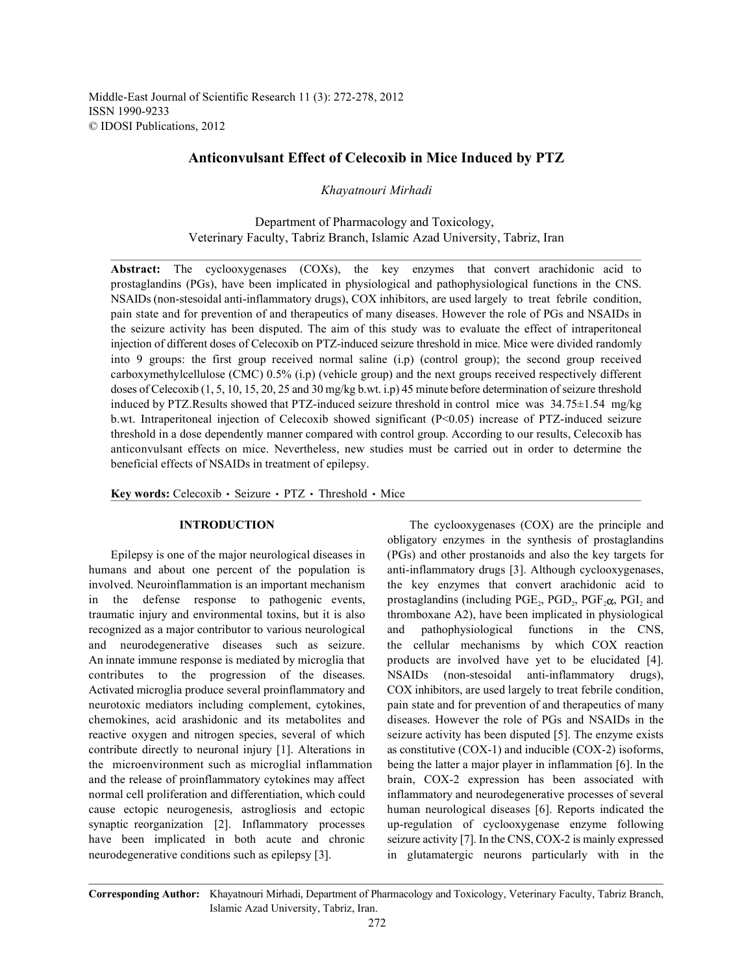# **Anticonvulsant Effect of Celecoxib in Mice Induced by PTZ**

*Khayatnouri Mirhadi*

Department of Pharmacology and Toxicology, Veterinary Faculty, Tabriz Branch, Islamic Azad University, Tabriz, Iran

**Abstract:** The cyclooxygenases (COXs), the key enzymes that convert arachidonic acid to prostaglandins (PGs), have been implicated in physiological and pathophysiological functions in the CNS. NSAIDs (non-stesoidal anti-inflammatory drugs), COX inhibitors, are used largely to treat febrile condition, pain state and for prevention of and therapeutics of many diseases. However the role of PGs and NSAIDs in the seizure activity has been disputed. The aim of this study was to evaluate the effect of intraperitoneal injection of different doses of Celecoxib on PTZ-induced seizure threshold in mice. Mice were divided randomly into 9 groups: the first group received normal saline (i.p) (control group); the second group received carboxymethylcellulose (CMC) 0.5% (i.p) (vehicle group) and the next groups received respectively different doses of Celecoxib (1, 5, 10, 15, 20, 25 and 30 mg/kg b.wt. i.p) 45 minute before determination of seizure threshold induced by PTZ.Results showed that PTZ-induced seizure threshold in control mice was 34.75±1.54 mg/kg b.wt. Intraperitoneal injection of Celecoxib showed significant (P<0.05) increase of PTZ-induced seizure threshold in a dose dependently manner compared with control group. According to our results, Celecoxib has anticonvulsant effects on mice. Nevertheless, new studies must be carried out in order to determine the beneficial effects of NSAIDs in treatment of epilepsy.

Key words: Celecoxib · Seizure · PTZ · Threshold · Mice

humans and about one percent of the population is anti-inflammatory drugs [3]. Although cyclooxygenases, involved. Neuroinflammation is an important mechanism the key enzymes that convert arachidonic acid to in the defense response to pathogenic events, prostaglandins (including  $PGE_2$ ,  $PGD_2$ ,  $PGF_2\alpha$ ,  $PGI_2$  and traumatic injury and environmental toxins, but it is also thromboxane A2), have been implicated in physiological recognized as a major contributor to various neurological and pathophysiological functions in the CNS, and neurodegenerative diseases such as seizure. the cellular mechanisms by which COX reaction An innate immune response is mediated by microglia that products are involved have yet to be elucidated [4]. contributes to the progression of the diseases. NSAIDs (non-stesoidal anti-inflammatory drugs), Activated microglia produce several proinflammatory and COX inhibitors, are used largely to treat febrile condition, neurotoxic mediators including complement, cytokines, pain state and for prevention of and therapeutics of many chemokines, acid arashidonic and its metabolites and diseases. However the role of PGs and NSAIDs in the reactive oxygen and nitrogen species, several of which seizure activity has been disputed [5]. The enzyme exists contribute directly to neuronal injury [1]. Alterations in as constitutive (COX-1) and inducible (COX-2) isoforms, the microenvironment such as microglial inflammation being the latter a major player in inflammation [6]. In the and the release of proinflammatory cytokines may affect brain, COX-2 expression has been associated with normal cell proliferation and differentiation, which could inflammatory and neurodegenerative processes of several cause ectopic neurogenesis, astrogliosis and ectopic human neurological diseases [6]. Reports indicated the synaptic reorganization [2]. Inflammatory processes up-regulation of cyclooxygenase enzyme following have been implicated in both acute and chronic seizure activity [7]. In the CNS, COX-2 is mainly expressed neurodegenerative conditions such as epilepsy [3]. in glutamatergic neurons particularly with in the

**INTRODUCTION** The cyclooxygenases (COX) are the principle and Epilepsy is one of the major neurological diseases in (PGs) and other prostanoids and also the key targets for obligatory enzymes in the synthesis of prostaglandins

**Corresponding Author:** Khayatnouri Mirhadi, Department of Pharmacology and Toxicology, Veterinary Faculty, Tabriz Branch, Islamic Azad University, Tabriz, Iran.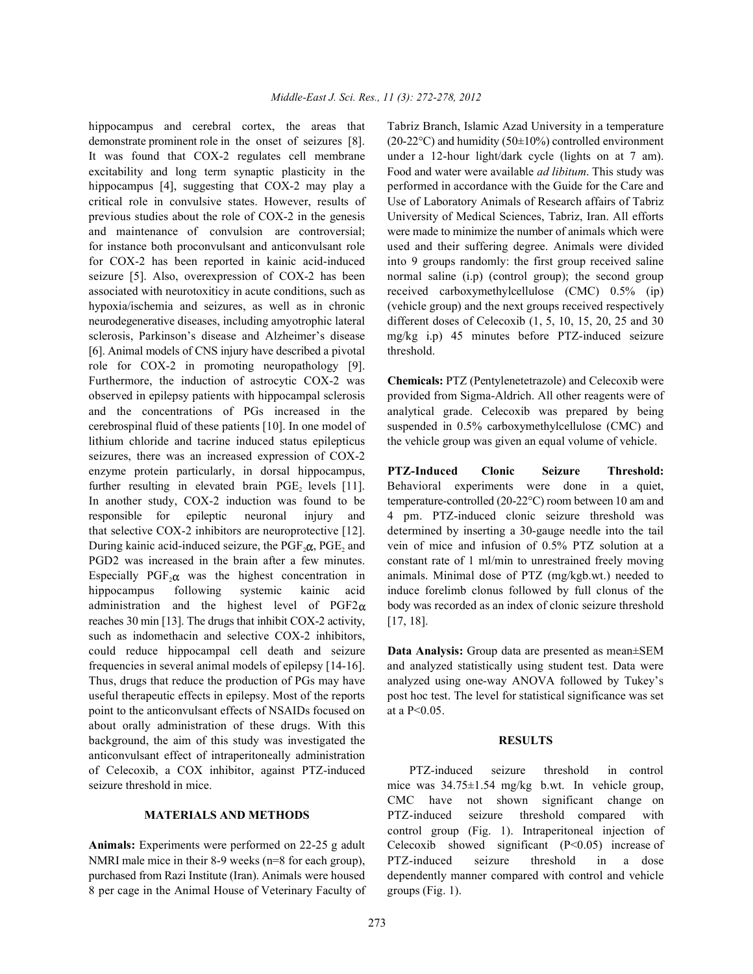demonstrate prominent role in the onset of seizures [8]. (20-22°C) and humidity (50±10%) controlled environment It was found that COX-2 regulates cell membrane under a 12-hour light/dark cycle (lights on at 7 am). excitability and long term synaptic plasticity in the Food and water were available *ad libitum*. This study was hippocampus [4], suggesting that COX-2 may play a performed in accordance with the Guide for the Care and critical role in convulsive states. However, results of Use of Laboratory Animals of Research affairs of Tabriz previous studies about the role of COX-2 in the genesis University of Medical Sciences, Tabriz, Iran. All efforts and maintenance of convulsion are controversial; were made to minimize the number of animals which were for instance both proconvulsant and anticonvulsant role used and their suffering degree. Animals were divided for COX-2 has been reported in kainic acid-induced into 9 groups randomly: the first group received saline seizure [5]. Also, overexpression of COX-2 has been normal saline (i.p) (control group); the second group associated with neurotoxiticy in acute conditions, such as received carboxymethylcellulose (CMC) 0.5% (ip) hypoxia/ischemia and seizures, as well as in chronic (vehicle group) and the next groups received respectively neurodegenerative diseases, including amyotrophic lateral different doses of Celecoxib (1, 5, 10, 15, 20, 25 and 30 sclerosis, Parkinson's disease and Alzheimer's disease mg/kg i.p) 45 minutes before PTZ-induced seizure [6]. Animal models of CNS injury have described a pivotal threshold. role for COX-2 in promoting neuropathology [9]. Furthermore, the induction of astrocytic COX-2 was **Chemicals:** PTZ (Pentylenetetrazole) and Celecoxib were observed in epilepsy patients with hippocampal sclerosis provided from Sigma-Aldrich. All other reagents were of and the concentrations of PGs increased in the analytical grade. Celecoxib was prepared by being cerebrospinal fluid of these patients [10]. In one model of suspended in 0.5% carboxymethylcellulose (CMC) and lithium chloride and tacrine induced status epilepticus the vehicle group was given an equal volume of vehicle. seizures, there was an increased expression of COX-2 enzyme protein particularly, in dorsal hippocampus, **PTZ-Induced Clonic Seizure Threshold:** further resulting in elevated brain  $PGE_2$  levels [11]. Behavioral experiments were done in a quiet, In another study, COX-2 induction was found to be temperature-controlled (20-22°C) room between 10 am and responsible for epileptic neuronal injury and 4 pm. PTZ-induced clonic seizure threshold was that selective COX-2 inhibitors are neuroprotective [12]. determined by inserting a 30-gauge needle into the tail During kainic acid-induced seizure, the  $PGF_2\alpha$ ,  $PGE_2$  and vein of mice and infusion of 0.5% PTZ solution at a PGD2 was increased in the brain after a few minutes. constant rate of 1 ml/min to unrestrained freely moving Especially PGF, $\alpha$  was the highest concentration in animals. Minimal dose of PTZ (mg/kgb.wt.) needed to hippocampus following systemic kainic acid induce forelimb clonus followed by full clonus of the administration and the highest level of  $PGF2\alpha$  body was recorded as an index of clonic seizure threshold reaches 30 min [13]. The drugs that inhibit COX-2 activity,  $[17, 18]$ . such as indomethacin and selective COX-2 inhibitors, could reduce hippocampal cell death and seizure **Data Analysis:** Group data are presented as mean±SEM frequencies in several animal models of epilepsy [14-16]. and analyzed statistically using student test. Data were Thus, drugs that reduce the production of PGs may have analyzed using one-way ANOVA followed by Tukey's useful therapeutic effects in epilepsy. Most of the reports post hoc test. The level for statistical significance was set point to the anticonvulsant effects of NSAIDs focused on at a P<0.05. about orally administration of these drugs. With this background, the aim of this study was investigated the **RESULTS** anticonvulsant effect of intraperitoneally administration of Celecoxib, a COX inhibitor, against PTZ-induced PTZ-induced seizure threshold in control seizure threshold in mice. mice was  $34.75 \pm 1.54$  mg/kg b.wt. In vehicle group,

NMRI male mice in their 8-9 weeks (n=8 for each group), PTZ-induced seizure threshold in a dose purchased from Razi Institute (Iran). Animals were housed dependently manner compared with control and vehicle 8 per cage in the Animal House of Veterinary Faculty of groups (Fig. 1).

hippocampus and cerebral cortex, the areas that Tabriz Branch, Islamic Azad University in a temperature

temperature-controlled (20-22°C) room between 10 am and constant rate of 1 ml/min to unrestrained freely moving.

**MATERIALS AND METHODS** PTZ-induced seizure threshold compared with Animals: Experiments were performed on 22-25 g adult Celecoxib showed significant (P<0.05) increase of CMC have not shown significant change on control group (Fig. 1). Intraperitoneal injection of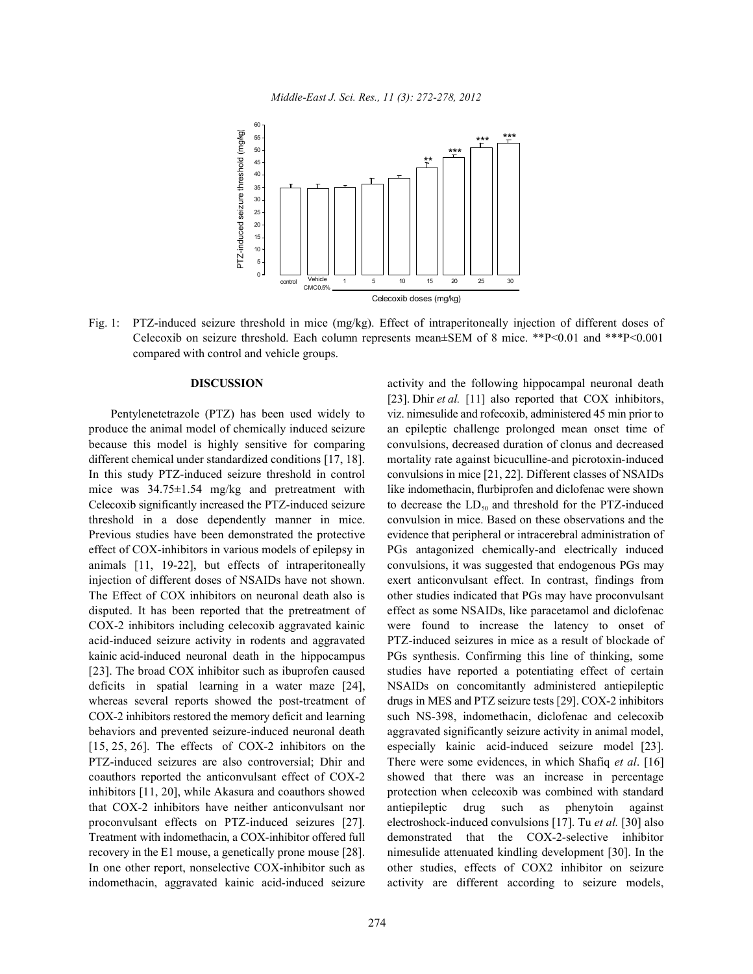

Fig. 1: PTZ-induced seizure threshold in mice (mg/kg). Effect of intraperitoneally injection of different doses of Celecoxib on seizure threshold. Each column represents mean±SEM of 8 mice. \*\*P<0.01 and \*\*\*P<0.001 compared with control and vehicle groups.

**DISCUSSION** activity and the following hippocampal neuronal death Pentylenetetrazole (PTZ) has been used widely to viz. nimesulide and rofecoxib, administered 45 min prior to produce the animal model of chemically induced seizure an epileptic challenge prolonged mean onset time of because this model is highly sensitive for comparing convulsions, decreased duration of clonus and decreased different chemical under standardized conditions [17, 18]. mortality rate against bicuculline-and picrotoxin-induced In this study PTZ-induced seizure threshold in control convulsions in mice [21, 22]. Different classes of NSAIDs mice was 34.75±1.54 mg/kg and pretreatment with like indomethacin, flurbiprofen and diclofenac were shown Celecoxib significantly increased the PTZ-induced seizure to decrease the  $LD_{50}$  and threshold for the PTZ-induced threshold in a dose dependently manner in mice. convulsion in mice. Based on these observations and the Previous studies have been demonstrated the protective evidence that peripheral or intracerebral administration of effect of COX-inhibitors in various models of epilepsy in PGs antagonized chemically-and electrically induced animals [11, 19-22], but effects of intraperitoneally convulsions, it was suggested that endogenous PGs may injection of different doses of NSAIDs have not shown. exert anticonvulsant effect. In contrast, findings from The Effect of COX inhibitors on neuronal death also is other studies indicated that PGs may have proconvulsant disputed. It has been reported that the pretreatment of effect as some NSAIDs, like paracetamol and diclofenac COX-2 inhibitors including celecoxib aggravated kainic were found to increase the latency to onset of acid-induced seizure activity in rodents and aggravated PTZ-induced seizures in mice as a result of blockade of kainic acid-induced neuronal death in the hippocampus PGs synthesis. Confirming this line of thinking, some [23]. The broad COX inhibitor such as ibuprofen caused studies have reported a potentiating effect of certain deficits in spatial learning in a water maze [24], NSAIDs on concomitantly administered antiepileptic whereas several reports showed the post-treatment of drugs in MES and PTZ seizure tests [29]. COX-2 inhibitors COX-2 inhibitors restored the memory deficit and learning such NS-398, indomethacin, diclofenac and celecoxib behaviors and prevented seizure-induced neuronal death aggravated significantly seizure activity in animal model, [15, 25, 26]. The effects of COX-2 inhibitors on the especially kainic acid-induced seizure model [23]. PTZ-induced seizures are also controversial; Dhir and There were some evidences, in which Shafiq *et al*. [16] coauthors reported the anticonvulsant effect of COX-2 showed that there was an increase in percentage inhibitors [11, 20], while Akasura and coauthors showed protection when celecoxib was combined with standard that COX-2 inhibitors have neither anticonvulsant nor antiepileptic drug such as phenytoin against proconvulsant effects on PTZ-induced seizures [27]. electroshock-induced convulsions [17]. Tu *et al.* [30] also Treatment with indomethacin, a COX-inhibitor offered full demonstrated that the COX-2-selective inhibitor recovery in the E1 mouse, a genetically prone mouse [28]. nimesulide attenuated kindling development [30]. In the In one other report, nonselective COX-inhibitor such as other studies, effects of COX2 inhibitor on seizure indomethacin, aggravated kainic acid-induced seizure activity are different according to seizure models, [23]. Dhir *et al.* [11] also reported that COX inhibitors,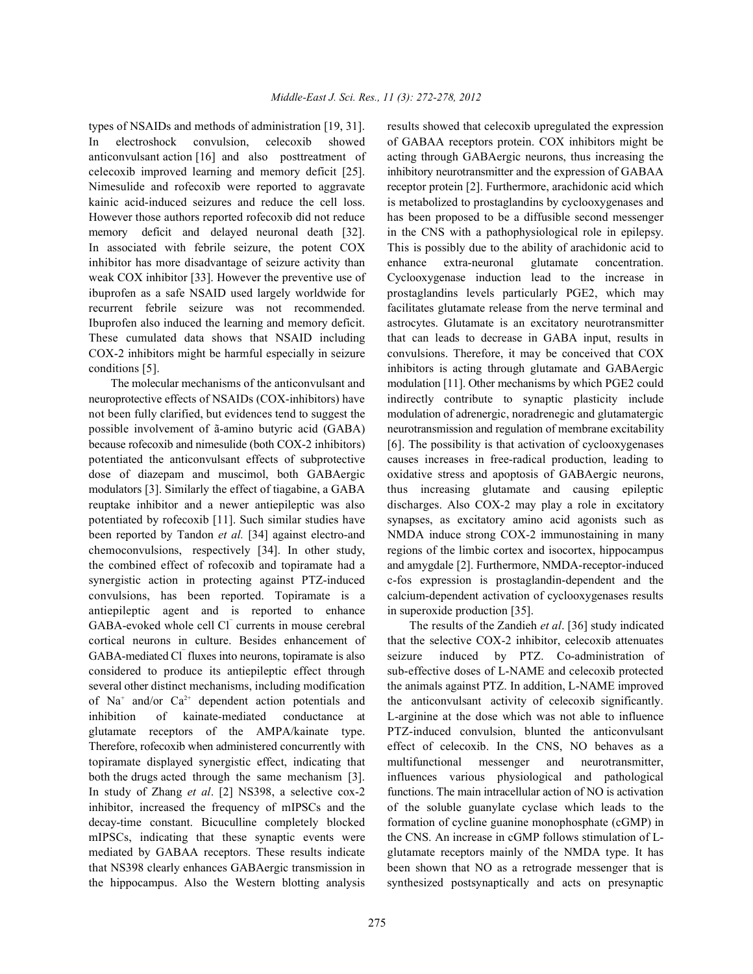In electroshock convulsion, celecoxib showed of GABAA receptors protein. COX inhibitors might be anticonvulsant action [16] and also posttreatment of acting through GABAergic neurons, thus increasing the celecoxib improved learning and memory deficit [25]. inhibitory neurotransmitter and the expression of GABAA Nimesulide and rofecoxib were reported to aggravate receptor protein [2]. Furthermore, arachidonic acid which kainic acid-induced seizures and reduce the cell loss. is metabolized to prostaglandins by cyclooxygenases and However those authors reported rofecoxib did not reduce has been proposed to be a diffusible second messenger memory deficit and delayed neuronal death [32]. in the CNS with a pathophysiological role in epilepsy. In associated with febrile seizure, the potent COX This is possibly due to the ability of arachidonic acid to inhibitor has more disadvantage of seizure activity than enhance extra-neuronal glutamate concentration. weak COX inhibitor [33]. However the preventive use of Cyclooxygenase induction lead to the increase in ibuprofen as a safe NSAID used largely worldwide for prostaglandins levels particularly PGE2, which may recurrent febrile seizure was not recommended. facilitates glutamate release from the nerve terminal and Ibuprofen also induced the learning and memory deficit. astrocytes. Glutamate is an excitatory neurotransmitter These cumulated data shows that NSAID including that can leads to decrease in GABA input, results in COX-2 inhibitors might be harmful especially in seizure convulsions. Therefore, it may be conceived that COX conditions [5]. inhibitors is acting through glutamate and GABAergic

neuroprotective effects of NSAIDs (COX-inhibitors) have indirectly contribute to synaptic plasticity include not been fully clarified, but evidences tend to suggest the modulation of adrenergic, noradrenegic and glutamatergic possible involvement of ã-amino butyric acid (GABA) neurotransmission and regulation of membrane excitability because rofecoxib and nimesulide (both COX-2 inhibitors) [6]. The possibility is that activation of cyclooxygenases potentiated the anticonvulsant effects of subprotective causes increases in free-radical production, leading to dose of diazepam and muscimol, both GABAergic oxidative stress and apoptosis of GABAergic neurons, modulators [3]. Similarly the effect of tiagabine, a GABA thus increasing glutamate and causing epileptic reuptake inhibitor and a newer antiepileptic was also discharges. Also COX-2 may play a role in excitatory potentiated by rofecoxib [11]. Such similar studies have synapses, as excitatory amino acid agonists such as been reported by Tandon *et al.* [34] against electro-and NMDA induce strong COX-2 immunostaining in many chemoconvulsions, respectively [34]. In other study, regions of the limbic cortex and isocortex, hippocampus the combined effect of rofecoxib and topiramate had a and amygdale [2]. Furthermore, NMDA-receptor-induced synergistic action in protecting against PTZ-induced c-fos expression is prostaglandin-dependent and the convulsions, has been reported. Topiramate is a calcium-dependent activation of cyclooxygenases results antiepileptic agent and is reported to enhance in superoxide production [35]. GABA-evoked whole cell Cl currents in mouse cerebral The results of the Zandieh *et al.* [36] study indicated cortical neurons in culture. Besides enhancement of that the selective COX-2 inhibitor, celecoxib attenuates GABA-mediated Cl fluxes into neurons, topiramate is also seizure induced by PTZ. Co-administration of considered to produce its antiepileptic effect through sub-effective doses of L-NAME and celecoxib protected several other distinct mechanisms, including modification the animals against PTZ. In addition, L-NAME improved of Na<sup>+</sup> and/or Ca<sup>2+</sup> dependent action potentials and the anticonvulsant activity of celecoxib significantly. inhibition of kainate-mediated conductance at L-arginine at the dose which was not able to influence glutamate receptors of the AMPA/kainate type. PTZ-induced convulsion, blunted the anticonvulsant Therefore, rofecoxib when administered concurrently with effect of celecoxib. In the CNS, NO behaves as a topiramate displayed synergistic effect, indicating that multifunctional messenger and neurotransmitter, both the drugs acted through the same mechanism [3]. influences various physiological and pathological In study of Zhang *et al*. [2] NS398, a selective cox-2 functions. The main intracellular action of NO is activation inhibitor, increased the frequency of mIPSCs and the of the soluble guanylate cyclase which leads to the decay-time constant. Bicuculline completely blocked formation of cycline guanine monophosphate (cGMP) in mIPSCs, indicating that these synaptic events were the CNS. An increase in cGMP follows stimulation of Lmediated by GABAA receptors. These results indicate glutamate receptors mainly of the NMDA type. It has that NS398 clearly enhances GABAergic transmission in been shown that NO as a retrograde messenger that is the hippocampus. Also the Western blotting analysis synthesized postsynaptically and acts on presynaptic

types of NSAIDs and methods of administration [19, 31]. results showed that celecoxib upregulated the expression The molecular mechanisms of the anticonvulsant and modulation [11]. Other mechanisms by which PGE2 could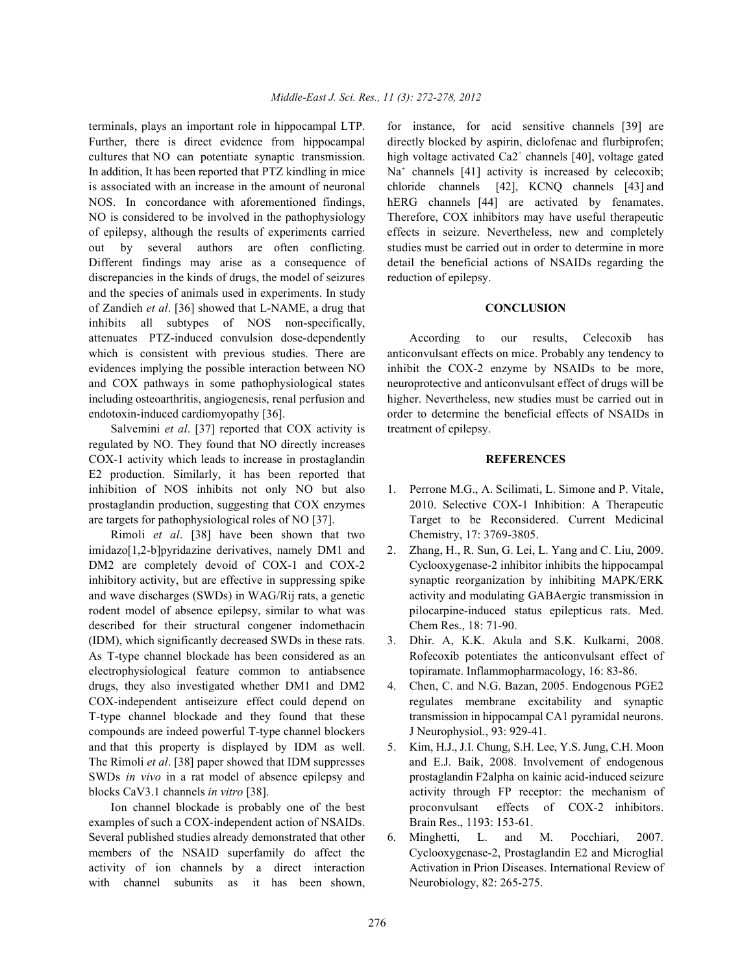terminals, plays an important role in hippocampal LTP. for instance, for acid sensitive channels [39] are Further, there is direct evidence from hippocampal directly blocked by aspirin, diclofenac and flurbiprofen; cultures that NO can potentiate synaptic transmission. In addition, It has been reported that PTZ kindling in mice  $Na<sup>+</sup>$  channels [41] activity is increased by celecoxib; is associated with an increase in the amount of neuronal chloride channels [42], KCNQ channels [43] and NOS. In concordance with aforementioned findings, hERG channels [44] are activated by fenamates. NO is considered to be involved in the pathophysiology Therefore, COX inhibitors may have useful therapeutic of epilepsy, although the results of experiments carried effects in seizure. Nevertheless, new and completely out by several authors are often conflicting. studies must be carried out in order to determine in more Different findings may arise as a consequence of detail the beneficial actions of NSAIDs regarding the discrepancies in the kinds of drugs, the model of seizures reduction of epilepsy. and the species of animals used in experiments. In study of Zandieh *et al*. [36] showed that L-NAME, a drug that **CONCLUSION** inhibits all subtypes of NOS non-specifically, attenuates PTZ-induced convulsion dose-dependently According to our results, Celecoxib has which is consistent with previous studies. There are anticonvulsant effects on mice. Probably any tendency to evidences implying the possible interaction between NO inhibit the COX-2 enzyme by NSAIDs to be more, and COX pathways in some pathophysiological states neuroprotective and anticonvulsant effect of drugs will be including osteoarthritis, angiogenesis, renal perfusion and higher. Nevertheless, new studies must be carried out in endotoxin-induced cardiomyopathy [36]. order to determine the beneficial effects of NSAIDs in

Salvemini *et al.* [37] reported that COX activity is treatment of epilepsy. regulated by NO. They found that NO directly increases COX-1 activity which leads to increase in prostaglandin **REFERENCES** E2 production. Similarly, it has been reported that inhibition of NOS inhibits not only NO but also 1. Perrone M.G., A. Scilimati, L. Simone and P. Vitale, prostaglandin production, suggesting that COX enzymes 2010. Selective COX-1 Inhibition: A Therapeutic are targets for pathophysiological roles of NO [37]. Target to be Reconsidered. Current Medicinal

Rimoli *et al*. [38] have been shown that two Chemistry, 17: 3769-3805. imidazo[1,2-b]pyridazine derivatives, namely DM1 and 2. Zhang, H., R. Sun, G. Lei, L. Yang and C. Liu, 2009. DM2 are completely devoid of COX-1 and COX-2 Cyclooxygenase-2 inhibitor inhibits the hippocampal inhibitory activity, but are effective in suppressing spike synaptic reorganization by inhibiting MAPK/ERK and wave discharges (SWDs) in WAG/Rij rats, a genetic activity and modulating GABAergic transmission in rodent model of absence epilepsy, similar to what was pilocarpine-induced status epilepticus rats. Med. described for their structural congener indomethacin Chem Res., 18: 71-90. (IDM), which significantly decreased SWDs in these rats. 3. Dhir. A, K.K. Akula and S.K. Kulkarni, 2008. As T-type channel blockade has been considered as an Rofecoxib potentiates the anticonvulsant effect of electrophysiological feature common to antiabsence topiramate. Inflammopharmacology, 16: 83-86. drugs, they also investigated whether DM1 and DM2 4. Chen, C. and N.G. Bazan, 2005. Endogenous PGE2 COX-independent antiseizure effect could depend on regulates membrane excitability and synaptic T-type channel blockade and they found that these transmission in hippocampal CA1 pyramidal neurons. compounds are indeed powerful T-type channel blockers J Neurophysiol., 93: 929-41. and that this property is displayed by IDM as well. 5. Kim, H.J., J.I. Chung, S.H. Lee, Y.S. Jung, C.H. Moon The Rimoli *et al*. [38] paper showed that IDM suppresses and E.J. Baik, 2008. Involvement of endogenous SWDs *in vivo* in a rat model of absence epilepsy and prostaglandin F2alpha on kainic acid-induced seizure

examples of such a COX-independent action of NSAIDs. Brain Res., 1193: 153-61. Several published studies already demonstrated that other 6. Minghetti, L. and M. Pocchiari, 2007. members of the NSAID superfamily do affect the Cyclooxygenase-2, Prostaglandin E2 and Microglial activity of ion channels by a direct interaction Activation in Prion Diseases. International Review of with channel subunits as it has been shown, Neurobiology, 82: 265-275.

high voltage activated  $Ca2^+$  channels [40], voltage gated

- 
- 
- 
- 
- blocks CaV3.1 channels *in vitro* [38]. activity through FP receptor: the mechanism of Ion channel blockade is probably one of the best proconvulsant effects of COX-2 inhibitors.
	-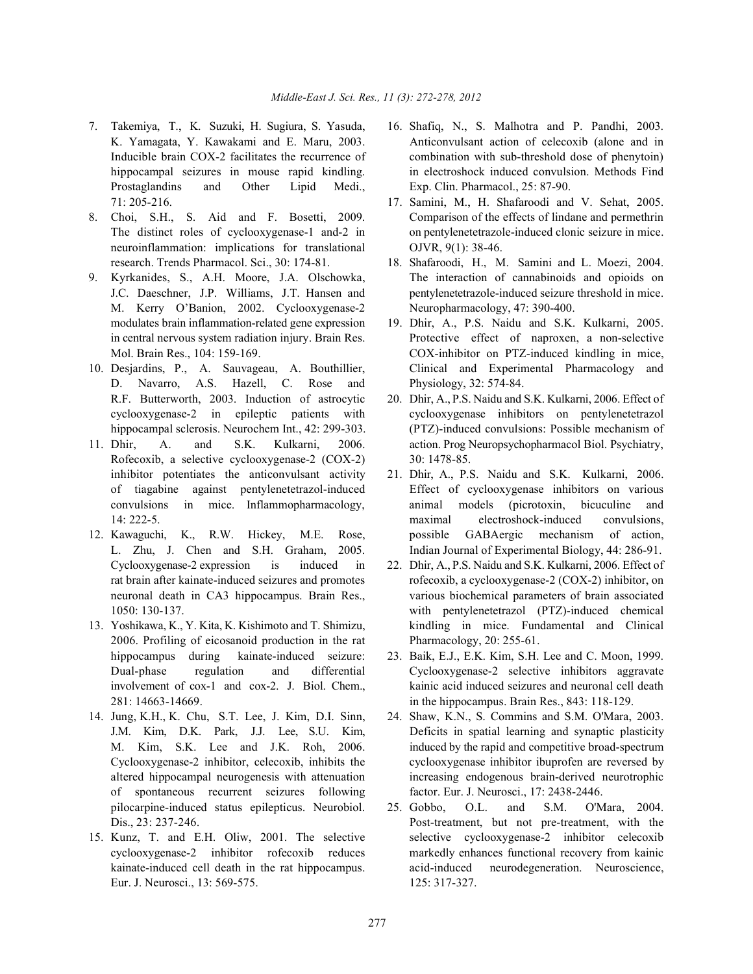- 7. Takemiya, T., K. Suzuki, H. Sugiura, S. Yasuda, 16. Shafiq, N., S. Malhotra and P. Pandhi, 2003. Prostaglandins and Other Lipid Medi., Exp. Clin. Pharmacol., 25: 87-90. 71: 205-216. 17. Samini, M., H. Shafaroodi and V. Sehat, 2005.
- 8. Choi, S.H., S. Aid and F. Bosetti, 2009. Comparison of the effects of lindane and permethrin neuroinflammation: implications for translational OJVR, 9(1): 38-46. research. Trends Pharmacol. Sci., 30: 174-81. 18. Shafaroodi, H., M. Samini and L. Moezi, 2004.
- M. Kerry O'Banion, 2002. Cyclooxygenase-2 Neuropharmacology, 47: 390-400. modulates brain inflammation-related gene expression 19. Dhir, A., P.S. Naidu and S.K. Kulkarni, 2005.
- D. Navarro, A.S. Hazell, C. Rose and Physiology, 32: 574-84. R.F. Butterworth, 2003. Induction of astrocytic 20. Dhir, A., P.S. Naidu and S.K. Kulkarni, 2006. Effect of
- Rofecoxib, a selective cyclooxygenase-2 (COX-2) 30:1478-85. inhibitor potentiates the anticonvulsant activity 21. Dhir, A., P.S. Naidu and S.K. Kulkarni, 2006.
- 12. Kawaguchi, K., R.W. Hickey, M.E. Rose, possible GABAergic mechanism of action,
- 13. Yoshikawa, K., Y. Kita, K. Kishimoto and T. Shimizu, kindling in mice. Fundamental and Clinical 2006. Profiling of eicosanoid production in the rat Pharmacology, 20: 255-61. 281: 14663-14669. in the hippocampus. Brain Res., 843: 118-129.
- of spontaneous recurrent seizures following factor. Eur. J. Neurosci., 17: 2438-2446.
- 15. Kunz, T. and E.H. Oliw, 2001. The selective selective cyclooxygenase-2 inhibitor celecoxib Eur. J. Neurosci., 13: 569-575. 125: 317-327.
- K. Yamagata, Y. Kawakami and E. Maru, 2003. Anticonvulsant action of celecoxib (alone and in Inducible brain COX-2 facilitates the recurrence of combination with sub-threshold dose of phenytoin) hippocampal seizures in mouse rapid kindling. in electroshock induced convulsion. Methods Find
- The distinct roles of cyclooxygenase-1 and-2 in on pentylenetetrazole-induced clonic seizure in mice.
- 9. Kyrkanides, S., A.H. Moore, J.A. Olschowka, The interaction of cannabinoids and opioids on J.C. Daeschner, J.P. Williams, J.T. Hansen and pentylenetetrazole-induced seizure threshold in mice.
- in central nervous system radiation injury. Brain Res. Protective effect of naproxen, a non-selective Mol. Brain Res., 104: 159-169. COX-inhibitor on PTZ-induced kindling in mice, 10. Desjardins, P., A. Sauvageau, A. Bouthillier, Clinical and Experimental Pharmacology and
- cyclooxygenase-2 in epileptic patients with cyclooxygenase inhibitors on pentylenetetrazol hippocampal sclerosis. Neurochem Int., 42: 299-303. (PTZ)-induced convulsions: Possible mechanism of 11. Dhir, A. and S.K. Kulkarni, 2006. action. Prog Neuropsychopharmacol Biol. Psychiatry,
	- of tiagabine against pentylenetetrazol-induced Effect of cyclooxygenase inhibitors on various convulsions in mice. Inflammopharmacology, animal models (picrotoxin, bicuculine and 14: 222-5. maximal electroshock-induced convulsions, L. Zhu, J. Chen and S.H. Graham, 2005. Indian Journal of Experimental Biology, 44: 286-91.
	- Cyclooxygenase-2 expression is induced in 22. Dhir, A., P.S. Naidu and S.K. Kulkarni, 2006. Effect of rat brain after kainate-induced seizures and promotes rofecoxib, a cyclooxygenase-2 (COX-2) inhibitor, on neuronal death in CA3 hippocampus. Brain Res., various biochemical parameters of brain associated 1050: 130-137. with pentylenetetrazol (PTZ)-induced chemical
	- hippocampus during kainate-induced seizure: 23. Baik, E.J., E.K. Kim, S.H. Lee and C. Moon, 1999. Dual-phase regulation and differential Cyclooxygenase-2 selective inhibitors aggravate involvement of cox-1 and cox-2. J. Biol. Chem., kainic acid induced seizures and neuronal cell death
- 14. Jung, K.H., K. Chu, S.T. Lee, J. Kim, D.I. Sinn, 24. Shaw, K.N., S. Commins and S.M. O'Mara, 2003. J.M. Kim, D.K. Park, J.J. Lee, S.U. Kim, Deficits in spatial learning and synaptic plasticity M. Kim, S.K. Lee and J.K. Roh, 2006. induced by the rapid and competitive broad-spectrum Cyclooxygenase-2 inhibitor, celecoxib, inhibits the cyclooxygenase inhibitor ibuprofen are reversed by altered hippocampal neurogenesis with attenuation increasing endogenous brain-derived neurotrophic
	- pilocarpine-induced status epilepticus. Neurobiol. 25. Gobbo, O.L. and S.M. O'Mara, 2004. Dis., 23: 237-246. Post-treatment, but not pre-treatment, with the cyclooxygenase-2 inhibitor rofecoxib reduces markedly enhances functional recovery from kainic kainate-induced cell death in the rat hippocampus. acid-induced neurodegeneration. Neuroscience,